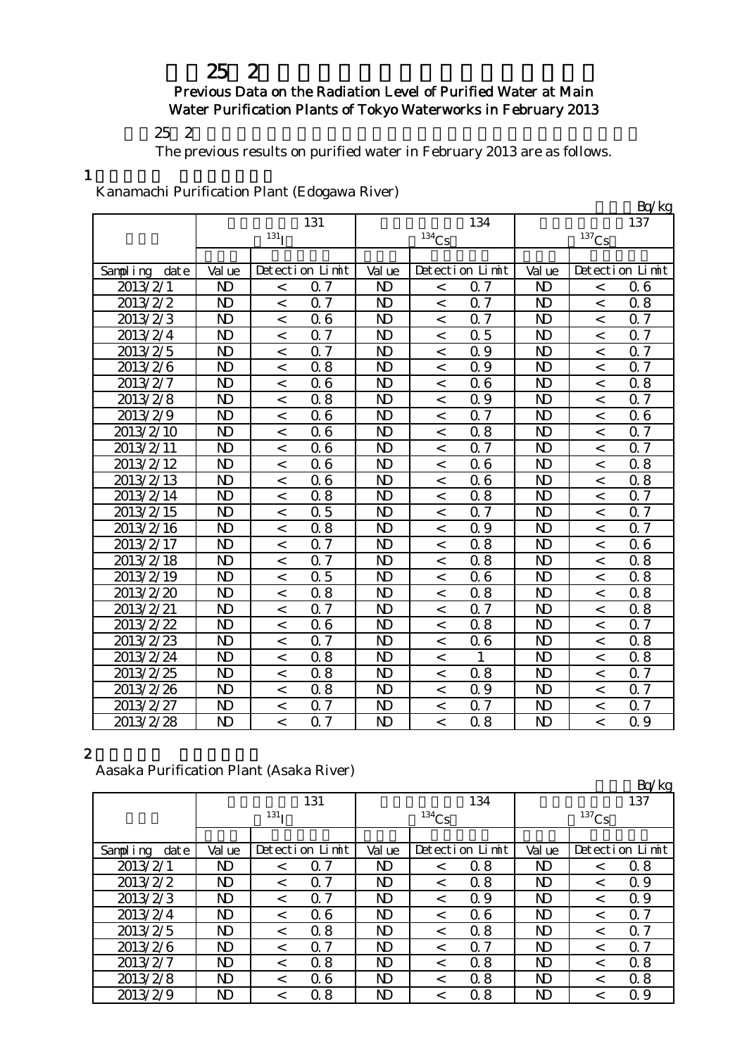## Previous Data on the Radiation Level of Purified Water at Main Water Purification Plants of Tokyo Waterworks in February 2013

 $252$ 

The previous results on purified water in February 2013 are as follows.

1

Kanamachi Purification Plant (Edogawa River)

| Ixahamachi I arihtatibii I iant (Labgawa Itivci) |                |                    |                 |                |                          |                 |                |                          | Bq/kg           |
|--------------------------------------------------|----------------|--------------------|-----------------|----------------|--------------------------|-----------------|----------------|--------------------------|-----------------|
|                                                  |                |                    | 131             |                |                          | 134             |                |                          | 137             |
|                                                  |                | $131$ <sub>I</sub> |                 |                | 134C <sub>S</sub>        |                 |                | 137C <sub>S</sub>        |                 |
|                                                  |                |                    |                 |                |                          |                 |                |                          |                 |
| Sampling<br>date                                 | Val ue         |                    | Detection Limit | Val ue         |                          | Detection Limit | Val ue         |                          | Detection Limit |
| 2013/2/1                                         | $\mathbf{D}$   | $\,<\,$            | 0.7             | $\mathbf{D}$   | $\lt$                    | 0.7             | N <sub>D</sub> | $\overline{\phantom{a}}$ | 06              |
| 2013/2/2                                         | $\mathbf{D}$   | $\,<$              | 0.7             | $\mathbf{D}$   | $\,<\,$                  | 0.7             | $\mathbf{D}$   | $\,<$                    | 0.8             |
| 2013/2/3                                         | $\mathbf{D}$   | $\,<$              | 06              | $\mathbf{D}$   | $\,<\,$                  | 0.7             | $\mathbf{D}$   | $\,<$                    | 0.7             |
| 2013/2/4                                         | $\mathbf{D}$   | $\,<$              | 0.7             | $\mathbf{D}$   | $\lt$                    | 0.5             | $\mathbf{D}$   | $\,<$                    | 0.7             |
| 2013/2/5                                         | $\mathbf{D}$   | $\,<$              | 0.7             | N <sub>D</sub> | $\,<\,$                  | Q 9             | $\mathbf{D}$   | $\overline{\phantom{a}}$ | 0.7             |
| 2013/2/6                                         | $\mathbf{D}$   | $\,<$              | 0.8             | N <sub>D</sub> | $\,<$                    | Q 9             | $\mathbf{D}$   | $\,<$                    | 0.7             |
| 2013/2/7                                         | $\mathbf{D}$   | $\,<$              | 06              | N <sub>D</sub> | $\overline{\phantom{0}}$ | 06              | $\mathbf{D}$   | $\overline{\phantom{a}}$ | 0.8             |
| 2013/2/8                                         | $\mathbf{D}$   | $\,<$              | 0.8             | N <sub>D</sub> | $\,<\,$                  | Q 9             | $\mathbf{D}$   | $\,<$                    | Q 7             |
| 2013/2/9                                         | $\mathbf{D}$   | $\,<$              | 06              | $\mathbf{D}$   | $\,<\,$                  | 0.7             | N <sub>D</sub> | $\,<$                    | 06              |
| 2013/2/10                                        | $\mathbf{D}$   | $\,<$              | 06              | $\mathbf{D}$   | $\,<$                    | 0.8             | $\mathbf{D}$   | $\,<$                    | 0.7             |
| 2013/2/11                                        | N <sub>D</sub> | $\,<$              | 06              | $\mathbf{D}$   | $\,<\,$                  | 0.7             | $\mathbf{D}$   | $\prec$                  | 0.7             |
| 2013/2/12                                        | $\mathbf{D}$   | $\,<$              | 06              | $\mathbf{D}$   | $\,<\,$                  | 06              | $\mathbf{D}$   | $\,<$                    | 0.8             |
| 2013/2/13                                        | $\mathbf{D}$   | $\,<$              | 06              | N <sub>D</sub> | $\overline{a}$           | 06              | N <sub>D</sub> | $\overline{a}$           | 0.8             |
| 2013/2/14                                        | N <sub>D</sub> | $\,<$              | 0.8             | N <sub>D</sub> | $\,<\,$                  | 0.8             | N <sub>D</sub> | $\,<$                    | 0.7             |
| 2013/2/15                                        | $\mathbf{D}$   | $\,<$              | 0.5             | $\mathbf{D}$   | $\,<\,$                  | 0.7             | $\mathbf{D}$   | $\,<$                    | 0.7             |
| 2013/2/16                                        | $\mathbf{D}$   | $\,<$              | 0.8             | $\mathbf{D}$   | $\,<$                    | 0.9             | $\mathbf{D}$   | $\,<$                    | Q 7             |
| 2013/2/17                                        | N <sub>D</sub> | $\,<$              | 0.7             | N <sub>D</sub> | $\overline{a}$           | 0.8             | $\mathbf{D}$   | $\overline{\phantom{a}}$ | 06              |
| 2013/2/18                                        | $\mathbf{D}$   | $\,<$              | 0.7             | N <sub>D</sub> | $\,<\,$                  | 0.8             | $\mathbf{D}$   | $\,<$                    | 0.8             |
| 2013/2/19                                        | $\mathbf{D}$   | $\lt$              | 0.5             | N <sub>D</sub> | $\lt$                    | 06              | N <sub>D</sub> | $\prec$                  | 0.8             |
| 2013/2/20                                        | $\mathbf{D}$   | $\,<$              | 0.8             | N <sub>D</sub> | $\,<\,$                  | 0.8             | $\mathbf{D}$   | $\,<$                    | 0.8             |
| 2013/2/21                                        | N <sub>D</sub> | $\,<$              | 0.7             | N <sub>D</sub> | $\lt$                    | 0.7             | N <sub>D</sub> | $\,<$                    | 0.8             |
| 2013/2/22                                        | $\mathbf{D}$   | $\,<$              | 06              | $\mathbf{D}$   | $\,<\,$                  | 0.8             | $\mathbf{D}$   | $\,<$                    | Q 7             |
| 2013/2/23                                        | $\mathbf{D}$   | $\,<$              | 0.7             | $\mathbf{D}$   | $\,<\,$                  | 06              | $\mathbf{D}$   | $\overline{\phantom{a}}$ | 0.8             |
| 2013/2/24                                        | N <sub>D</sub> | $\,<$              | 0.8             | $\mathbf{D}$   | $\,<$                    | $\mathbf{1}$    | $\mathbf{D}$   | $\prec$                  | 0.8             |
| 2013/2/25                                        | N <sub>D</sub> | $\,<$              | 0.8             | N <sub>D</sub> | $\overline{<}$           | 0.8             | N <sub>D</sub> | $\overline{a}$           | 0.7             |
| 2013/2/26                                        | N <sub>D</sub> | $\,<$              | 0.8             | N <sub>D</sub> | $\,<\,$                  | 0.9             | N <sub>D</sub> | $\,<\,$                  | 0.7             |
| 2013/2/27                                        | N <sub>D</sub> | $\,<$              | 0.7             | N <sub>D</sub> | $\,<$                    | 0.7             | N <sub>D</sub> | $\lt$                    | 0.7             |
| 2013/2/28                                        | $\mathbf{D}$   | $\lt$              | 0.7             | $\mathbf{D}$   | $\,<\,$                  | 0.8             | N <sub>D</sub> | $\overline{\phantom{a}}$ | 0.9             |

#### 2

Aasaka Purification Plant (Asaka River)

|                  |              |                  |                 |                |          |                 |                |         | Bq/kg           |
|------------------|--------------|------------------|-----------------|----------------|----------|-----------------|----------------|---------|-----------------|
|                  |              |                  | 131             |                |          | 134             |                |         | 137             |
|                  |              | 131 <sub>T</sub> |                 |                | $134$ Cs |                 | $137$ Cs       |         |                 |
|                  |              |                  |                 |                |          |                 |                |         |                 |
| Sampling<br>date | Val ue       |                  | Detection Limit | Val ue         |          | Detection Limit | Val ue         |         | Detection Limit |
| 2013/2/1         | ND           | $\,<\,$          | 7<br>Ω          | ND             | $\,<\,$  | 0.8             | $\mathbf{D}$   | $\,<\,$ | 0.8             |
| 2013/2/2         | ND           | $\,<\,$          | 0.7             | $\mathbf{D}$   | $\,<\,$  | 0.8             | $\mathbf{D}$   | $\,<\,$ | 0.9             |
| 2013/2/3         | ND           | $\,<\,$          | 0.7             | ND             | $\,<\,$  | 0.9             | N <sub>D</sub> | $\,<\,$ | Q 9             |
| 2013/2/4         | $\mathbf{D}$ | $\lt$            | 06              | N <sub>D</sub> | $\,<\,$  | 06              | $\mathbf{D}$   | $\lt$   | 0.7             |
| 2013/2/5         | ND           | $\,<\,$          | 0.8             | ND             | $\,<\,$  | 0.8             | $\mathbf{D}$   | $\,<\,$ | 0.7             |
| 2013/2/6         | ND           | $\,<\,$          | $\Omega$ 7      | ND             | $\,<\,$  | $\Omega$ 7      | ND.            | $\,<\,$ | $\alpha$ 7      |
| 2013/2/7         | ND           | $\lt$            | 0.8             | $\mathbf{D}$   | $\,<\,$  | 0.8             | $\mathbf{D}$   | $\,<\,$ | 0.8             |
| 2013/2/8         | ND           | $\,<\,$          | 06              | ND             | $\,<\,$  | 0.8             | $\mathbf{D}$   | $\,<\,$ | 0.8             |
| 2013/2/9         | ND           | $\,<\,$          | 0.8             | ND             | $\,<\,$  | 0.8             | ND             | $\,<\,$ | 0.9             |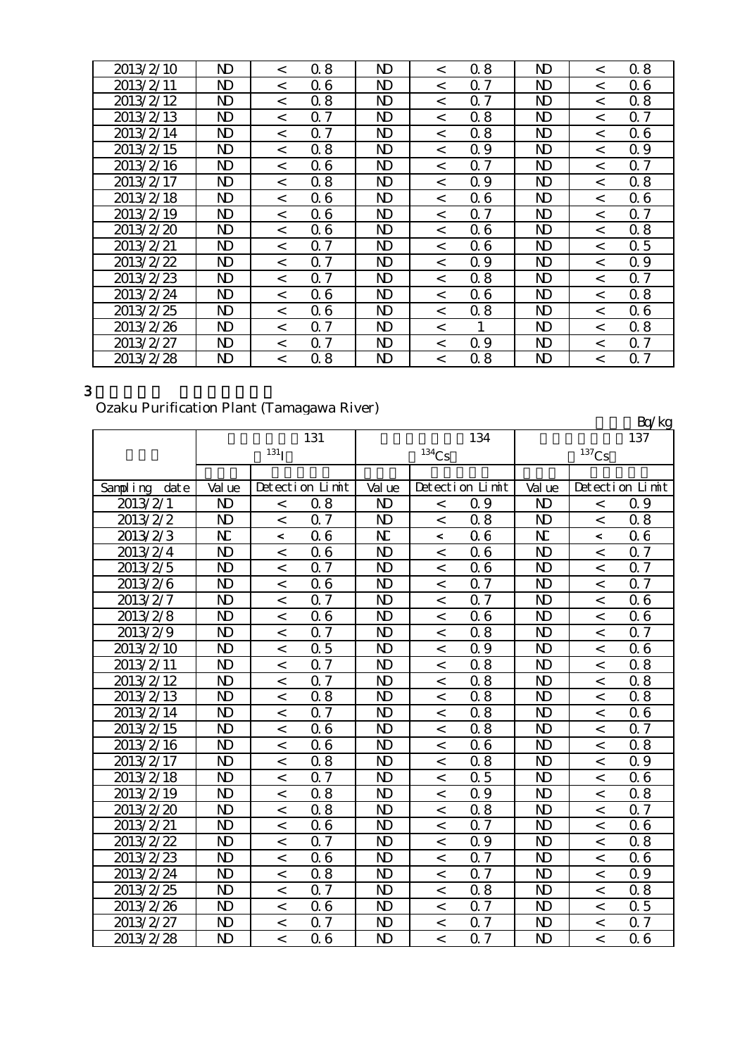| 2013/2/10 | ND           | $\,<\,$ | 0.8            | N)             | $\,<\,$ | 0.8        | N)           | $\,<\,$ | 0.8                        |
|-----------|--------------|---------|----------------|----------------|---------|------------|--------------|---------|----------------------------|
| 2013/2/11 | ND           | $\,<\,$ | 0.6            | ND             | $\,<\,$ | $\alpha$ 7 | ND           | $\,<\,$ | Q 6                        |
| 2013/2/12 | $\mathbf{D}$ | $\,<\,$ | 0.8            | N <sub>D</sub> | $\,<\,$ | 0.7        | $\mathbf{D}$ | $\,<\,$ | 0.8                        |
| 2013/2/13 | ND           | $\lt$   | 0.7            | ND             | $\lt$   | 0.8        | $\mathbf{D}$ | $\lt$   | 0.7                        |
| 2013/2/14 | ND           | $\lt$   | 0.7            | ND             | $\lt$   | 0.8        | $\mathbf{D}$ | $\lt$   | 06                         |
| 2013/2/15 | ND           | $\lt$   | 0.8            | ND.            | $\lt$   | Q 9        | $\mathbf{D}$ | $\lt$   | Q 9                        |
| 2013/2/16 | ND           | $\,<\,$ | Q 6            | ND             | $\lt$   | 0.7        | ND           | $\lt$   | 0.7                        |
| 2013/2/17 | ND           | $\lt$   | 0.8            | ND             | $\lt$   | Q 9        | $\mathbf{D}$ | $\lt$   | 0.8                        |
| 2013/2/18 | ND           | $\,<\,$ | Q 6            | ND             | $\lt$   | 06         | ND           | $\lt$   | 06                         |
| 2013/2/19 | ND           | $\lt$   | 06             | ND.            | $\lt$   | $\alpha$ 7 | ND           | $\lt$   | $\alpha$ 7                 |
| 2013/2/20 | ND           | $\,<\,$ | Q 6            | ND.            | $\lt$   | Q 6        | ND           | $\lt$   | 0.8                        |
| 2013/2/21 | ND           | $\lt$   | Q <sub>7</sub> | N)             | $\lt$   | 06         | N)           | $\lt$   | 0.5                        |
| 2013/2/22 | ND           | $\,<\,$ | $\alpha$ 7     | ND             | $\,<\,$ | Q 9        | ND           | $\,<\,$ | Q 9                        |
| 2013/2/23 | ND           | $\lt$   | -7<br>0        | N)             | $\,<\,$ | 0.8        | ND           | $\lt$   | $\Omega$ 7                 |
| 2013/2/24 | ND           | $\,<\,$ | 06             | ND             | $\,<\,$ | 06         | ND           | $\,<\,$ | 08                         |
| 2013/2/25 | ND           | $\,<\,$ | 06             | N)             | $\,<\,$ | 0.8        | N)           | $\,<\,$ | 06                         |
| 2013/2/26 | $\mathbf{D}$ | $\,<\,$ | 7<br>Ω         | N)             | $\,<\,$ |            | $\mathbf{D}$ | $\,<\,$ | 08                         |
| 2013/2/27 | ND           | $\,<\,$ | 7<br>Ω         | N)             | $\,<\,$ | 0.9        | ND           | $\,<\,$ | 7<br>$\Omega$              |
| 2013/2/28 | ND           | $\,<\,$ | 8<br>Ω         | N)             | $\,<\,$ | 8<br>Ω     | $\mathbf{D}$ | $\,<\,$ | $\overline{7}$<br>$\Omega$ |

## Ozaku Purification Plant (Tamagawa River)

| $\sigma$ and $\tau$ and allowed the contractor of $\sigma$ |                |                    |                 |                |                          |                 |                |                          | Bq/kg           |
|------------------------------------------------------------|----------------|--------------------|-----------------|----------------|--------------------------|-----------------|----------------|--------------------------|-----------------|
|                                                            |                |                    | 131             |                |                          | 134             |                |                          | 137             |
|                                                            |                | $^{131}\mathrm{I}$ |                 |                | $^{134}C_5$              |                 |                | $137C_S$                 |                 |
|                                                            |                |                    |                 |                |                          |                 |                |                          |                 |
| Sampling<br>date                                           | Val ue         |                    | Detection Limit | Val ue         |                          | Detection Limit | Val ue         |                          | Detection Limit |
| 2013/2/1                                                   | N)             | $\,<$              | 0.8             | N <sub>D</sub> | $\,<$                    | 0.9             | N)             | $\,<$                    | 0.9             |
| 2013/2/2                                                   | $\mathbf{D}$   | $\,<$              | 0.7             | $\mathbf{D}$   | $\,<$                    | 0.8             | N <sub>D</sub> | $\,<$                    | 0.8             |
| 2013/2/3                                                   | N              | $\,<$              | 06              | N              | $\overline{\phantom{a}}$ | 06              | N              | $\,<$                    | 06              |
| 2013/2/4                                                   | $\mathbf{D}$   | $\,<$              | 06              | N <sub>D</sub> | $\lt$                    | 06              | N <sub>D</sub> | $\,<$                    | 0.7             |
| 2013/2/5                                                   | $\mathbf{D}$   | $\overline{a}$     | 0.7             | N <sub>D</sub> | $\lt$                    | 06              | N <sub>D</sub> | $\overline{a}$           | 0.7             |
| 2013/2/6                                                   | N <sub>D</sub> | $\,<$              | 06              | N <sub>D</sub> | $\,<$                    | 0.7             | N <sub>D</sub> | $\,<$                    | <b>Q</b> 7      |
| 2013/2/7                                                   | $\mathbf{D}$   | $\,<$              | 0.7             | N <sub>D</sub> | $\,<$                    | 0.7             | N <sub>D</sub> | $\,<$                    | 06              |
| 2013/2/8                                                   | $\mathbf{D}$   | $\,<$              | 06              | $\mathbf{D}$   | $\,<$                    | 06              | N <sub>D</sub> | $\,<$                    | 06              |
| 2013/2/9                                                   | N <sub>D</sub> | $\overline{a}$     | 0.7             | N <sub>D</sub> | $\overline{a}$           | 0.8             | N <sub>D</sub> | $\overline{a}$           | 0.7             |
| 2013/2/10                                                  | N <sub>D</sub> | $\,<$              | 0.5             | N <sub>D</sub> | $\,<$                    | 0.9             | N <sub>D</sub> | $\,<\,$                  | 06              |
| 2013/2/11                                                  | $\mathbf{D}$   | $\,<$              | 0.7             | N <sub>D</sub> | $\,<$                    | 0.8             | N <sub>D</sub> | $\,<\,$                  | 0.8             |
| 2013/2/12                                                  | $\mathbf{D}$   | $\,<$              | 0.7             | N <sub>D</sub> | $\,<$                    | 0.8             | $\mathbf{D}$   | $\,<$                    | 0.8             |
| 2013/2/13                                                  | $\mathbf{D}$   | $\,<$              | 0.8             | N <sub>D</sub> | $\,<$                    | 0.8             | N <sub>D</sub> | $\overline{\phantom{a}}$ | 0.8             |
| 2013/2/14                                                  | $\mathbf{D}$   | $\,<$              | 0.7             | N <sub>D</sub> | $\,<$                    | 0.8             | N <sub>D</sub> | $\,<$                    | 06              |
| 2013/2/15                                                  | $\mathbf{D}$   | $\,<$              | 06              | N <sub>D</sub> | $\,<$                    | 0.8             | N <sub>D</sub> | $\overline{\phantom{a}}$ | 0.7             |
| 2013/2/16                                                  | $\mathbf{D}$   | $\,<$              | 06              | N <sub>D</sub> | $\,<$                    | 06              | N <sub>D</sub> | $\,<$                    | 0.8             |
| 2013/2/17                                                  | N <sub>D</sub> | $\,<$              | 0.8             | N <sub>D</sub> | $\,<$                    | 0.8             | N <sub>D</sub> | $\overline{\phantom{a}}$ | 0.9             |
| 2013/2/18                                                  | $\mathbf{D}$   | $\,<$              | 0.7             | $\mathbf{D}$   | $\,<$                    | 0.5             | $\mathbf{D}$   | $\,<\,$                  | 06              |
| 2013/2/19                                                  | $\mathbf{D}$   | $\,<$              | 0.8             | N <sub>D</sub> | $\,<$                    | 0.9             | N <sub>D</sub> | $\overline{\phantom{a}}$ | 0.8             |
| 2013/2/20                                                  | $\mathbf{D}$   | $\,<$              | 0.8             | N <sub>D</sub> | $\,<$                    | 0.8             | N <sub>D</sub> | $\overline{\phantom{a}}$ | 0.7             |
| 2013/2/21                                                  | N <sub>D</sub> | $\,<$              | 06              | N <sub>D</sub> | $\,<$                    | 0.7             | N <sub>D</sub> | $\,<\,$                  | 06              |
| 2013/2/22                                                  | $\mathbf{D}$   | $\,<$              | 0.7             | N <sub>D</sub> | $\,<$                    | Q 9             | N <sub>D</sub> | $\,<\,$                  | 0.8             |
| 2013/2/23                                                  | N <sub>D</sub> | $\,<$              | 06              | N <sub>D</sub> | $\,<$                    | 0.7             | N <sub>D</sub> | $\overline{\phantom{a}}$ | 06              |
| 2013/2/24                                                  | N <sub>D</sub> | $\,<$              | 0.8             | N <sub>D</sub> | $\,<$                    | 0.7             | N <sub>D</sub> | $\,<$                    | 0.9             |
| 2013/2/25                                                  | N <sub>D</sub> | $\,<$              | 0.7             | N <sub>D</sub> | $\,<$                    | 0.8             | N <sub>D</sub> | $\lt$                    | 0.8             |
| 2013/2/26                                                  | $\mathbf{D}$   | $\,<$              | 06              | N <sub>D</sub> | $\,<$                    | 0.7             | N <sub>D</sub> | $\,<\,$                  | 0.5             |
| 2013/2/27                                                  | N <sub>D</sub> | $\,<$              | 0.7             | N <sub>D</sub> | $\,<$                    | 0.7             | N <sub>D</sub> | $\lt$                    | 0.7             |
| 2013/2/28                                                  | N <sub>D</sub> | $\lt$              | 06              | $\mathbf{D}$   | $\,<\,$                  | Q 7             | N <sub>D</sub> | $\lt$                    | 06              |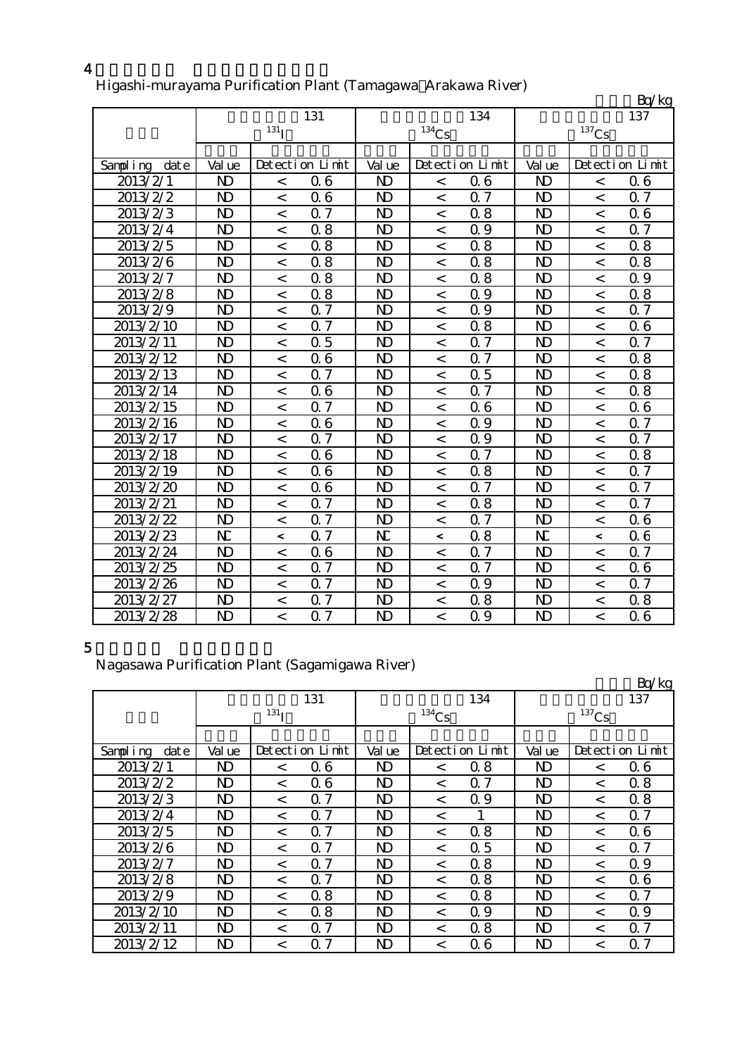|                  |                |                          |                  |                |                          |                  |                |                     | Bq/kg            |
|------------------|----------------|--------------------------|------------------|----------------|--------------------------|------------------|----------------|---------------------|------------------|
|                  |                |                          | 131              |                |                          | 134              |                |                     | 137              |
|                  |                | $131$ <sub>I</sub>       |                  |                | $134$ Cs                 |                  |                | $^{137}\mathrm{Cs}$ |                  |
|                  |                |                          |                  |                |                          |                  |                |                     |                  |
| Sampling<br>date | Val ue         |                          | Detection Limit  | Val ue         |                          | Detection Limit  | Val ue         |                     | Detection Limit  |
| 2013/2/1         | N <sub>D</sub> | $\,<$                    | 06               | N <sub>D</sub> | $\,<$                    | 06               | N <sub>D</sub> | $\,<$               | 06               |
| 2013/2/2         | $\mathbf{D}$   | $\overline{\phantom{a}}$ | 06               | N <sub>D</sub> | $\lt$                    | 0.7              | $\mathbf{D}$   | $\prec$             | 0.7              |
| 2013/2/3         | $\mathbf{D}$   | $\,<$                    | $0.\overline{7}$ | N <sub>D</sub> | $\overline{a}$           | 0.8              | N <sub>D</sub> | $\prec$             | 06               |
| 2013/2/4         | N <sub>D</sub> | $\,<$                    | 0.8              | $\mathbf{D}$   | $\,<$                    | Q 9              | $\mathbf{D}$   | $\,<$               | 0.7              |
| 2013/2/5         | $\mathbf{D}$   | $\,<$                    | 0.8              | $\mathbf{D}$   | $\,<\,$                  | 0.8              | $\mathbf{D}$   | $\,<$               | 0.8              |
| 2013/2/6         | $\mathbf{D}$   | $\,<$                    | 0.8              | $\mathbf{D}$   | $\,<$                    | 0.8              | $\mathbf{D}$   | $\,<$               | 0.8              |
| 2013/2/7         | $\mathbf{D}$   | $\lt$                    | 0.8              | $\mathbf{D}$   | $\overline{\phantom{0}}$ | 0.8              | $\mathbf{D}$   | $\prec$             | Q 9              |
| 2013/2/8         | N <sub>D</sub> | $\,<$                    | 0.8              | N <sub>D</sub> | $\,<$                    | 0.9              | N <sub>D</sub> | $\,<$               | 0.8              |
| 2013/2/9         | $\mathbf{D}$   | $\,<$                    | 0.7              | N <sub>D</sub> | $\,<$                    | Q 9              | $\mathbf{D}$   | $\,<$               | 0.7              |
| 2013/2/10        | N <sub>D</sub> | $\overline{a}$           | $\overline{07}$  | N <sub>D</sub> | $\overline{\phantom{a}}$ | 0.8              | $\mathbf{D}$   | $\prec$             | 06               |
| 2013/2/11        | $\mathbf{D}$   | $\,<$                    | 0.5              | $\mathbf{D}$   | $\,<$                    | 0.7              | N <sub>D</sub> | $\,<$               | 0.7              |
| 2013/2/12        | $\mathbf{D}$   | $\lt$                    | 06               | $\mathbf{D}$   | $\overline{\phantom{a}}$ | 0.7              | $\mathbf{D}$   | $\lt$               | 0.8              |
| 2013/2/13        | $\mathbf{D}$   | $\,<$                    | 0.7              | N <sub>D</sub> | $\,<$                    | 0.5              | $\mathbf{D}$   | $\,<$               | 0.8              |
| 2013/2/14        | $\mathbf{D}$   | $\,<$                    | 06               | $\mathbf{D}$   | $\,<$                    | Q 7              | $\mathbf{D}$   | $\,<$               | 0.8              |
| 2013/2/15        | $\mathbf{D}$   | $\,<$                    | 0.7              | N <sub>D</sub> | $\,<$                    | 06               | $\mathbf{D}$   | $\,<$               | 06               |
| 2013/2/16        | $\mathbf{D}$   | $\lt$                    | 06               | $\mathbf{D}$   | $\lt$                    | 0.9              | $\mathbf{D}$   | $\prec$             | 0.7              |
| 2013/2/17        | N <sub>D</sub> | $\,<$                    | Q 7              | N <sub>D</sub> | $\,<$                    | 0.9              | N <sub>D</sub> | $\prec$             | Q 7              |
| 2013/2/18        | $\mathbf{D}$   | $\,<$                    | 06               | N <sub>D</sub> | $\,<$                    | 0.7              | $\mathbf{D}$   | $\,<$               | 0.8              |
| 2013/2/19        | $\mathbf{D}$   | $\,<$                    | 06               | $\mathbf{D}$   | $\,<$                    | 0.8              | N <sub>D</sub> | $\,<$               | 0.7              |
| 2013/2/20        | $\mathbf{D}$   | $\,<$                    | 06               | $\mathbf{D}$   | $\,<$                    | $0\bar{7}$       | $\mathbf{D}$   | $\,<$               | $\overline{0.7}$ |
| 2013/2/21        | N <sub>D</sub> | $\,<$                    | Q 7              | N <sub>D</sub> | $\,<\,$                  | 0.8              | N <sub>D</sub> | $\lt$               | 0.7              |
| 2013/2/22        | N <sub>D</sub> | $\,<$                    | 0.7              | N <sub>D</sub> | $\,<\,$                  | Q 7              | N <sub>D</sub> | $\,<$               | 06               |
| 2013/2/23        | N              | $\,<\,$                  | Q <sub>7</sub>   | N              | $\,<\,$                  | 0.8              | N              | $\,<$               | 06               |
| 2013/2/24        | $\mathbf{D}$   | $\,<$                    | 06               | $\mathbf{D}$   | $\,<\,$                  | $\overline{0.7}$ | N <sub>D</sub> | $\,<$               | 0.7              |
| 2013/2/25        | N <sub>D</sub> | $\,<$                    | 0.7              | N <sub>D</sub> | $\,<$                    | 0.7              | N <sub>D</sub> | $\,<$               | 06               |
| 2013/2/26        | $\mathbf{D}$   | $\,<$                    | 0.7              | N <sub>D</sub> | $\,<$                    | Q 9              | N <sub>D</sub> | $\lt$               | 0.7              |
| 2013/2/27        | $\mathbf{D}$   | $\,<$                    | 0.7              | $\mathbf{D}$   | $\,<\,$                  | 0.8              | $\mathbf{D}$   | $\,<$               | 0.8              |
| 2013/2/28        | N <sub>D</sub> | $\overline{a}$           | $\overline{0.7}$ | N <sub>D</sub> | $\overline{a}$           | $\overline{0.9}$ | N <sub>D</sub> | $\,<$               | $\overline{0}$ 6 |

### Higashi-murayama Purification Plant (Tamagawa Arakawa River)

## 5

#### Nagasawa Purification Plant (Sagamigawa River)

|                  |              |                    |                 |                |                     |                 |                |          | Bq/kg           |
|------------------|--------------|--------------------|-----------------|----------------|---------------------|-----------------|----------------|----------|-----------------|
|                  |              |                    | 131             |                |                     | 134             |                |          | 137             |
|                  |              | $131$ <sup>T</sup> |                 |                | $^{134}\mathrm{Cs}$ |                 |                | $137$ Cs |                 |
|                  |              |                    |                 |                |                     |                 |                |          |                 |
| Sampling<br>date | Val ue       |                    | Detection Limit | Val ue         |                     | Detection Limit | Val ue         |          | Detection Limit |
| 2013/2/1         | $\mathbf{D}$ | $\lt$              | 06              | N <sub>D</sub> | $\,<\,$             | 0.8             | N <sub>D</sub> | $\,<\,$  | 06              |
| 2013/2/2         | ND.          | $\lt$              | 06              | N <sub>D</sub> | $\,<\,$             | Q <sub>7</sub>  | ND.            | $\lt$    | 0.8             |
| 2013/2/3         | ND           | $\lt$              | 7<br>$\Omega$   | ND             | $\,<\,$             | 0.9             | ND             | $\,<\,$  | 08              |
| 2013/2/4         | ND.          | $\lt$              | 7<br>$\Omega$   | N <sub>D</sub> | $\,<\,$             |                 | N <sub>D</sub> | $\,<\,$  | 0.7             |
| 2013/2/5         | ND.          | $\lt$              | Q <sub>7</sub>  | N <sub>D</sub> | $\lt$               | 0.8             | N <sub>D</sub> | $\lt$    | 06              |
| 2013/2/6         | ND           | $\lt$              | Q <sub>7</sub>  | $\mathbf{D}$   | $\lt$               | 0.5             | $\mathbf{D}$   | $\,<\,$  | 0.7             |
| 2013/2/7         | ND.          | $\lt$              | $\Omega$ 7      | N <sub>D</sub> | $\,<\,$             | 0.8             | N <sub>D</sub> | $\,<\,$  | 0.9             |
| 2013/2/8         | $\mathbf{D}$ | $\lt$              | Q <sub>7</sub>  | N <sub>D</sub> | $\lt$               | 0.8             | ND             | $\lt$    | 06              |
| 2013/2/9         | ND           | $\lt$              | 0.8             | $\mathbf{D}$   | $\lt$               | 0.8             | ND             | $\,<\,$  | 0.7             |
| 2013/2/10        | ND.          | $\lt$              | 0.8             | N <sub>D</sub> | $\lt$               | 0.9             | N <sub>D</sub> | $\,<\,$  | 0.9             |
| 2013/2/11        | ND.          | $\lt$              | Q <sub>7</sub>  | N <sub>D</sub> | $\lt$               | 0.8             | N <sub>D</sub> | $\lt$    | 0.7             |
| 2013/2/12        | ND           | $\,<\,$            | 7<br>$\Omega$   | $\mathbf{D}$   | $\,<\,$             | 06              | $\mathbf{D}$   | $\,<\,$  | 7<br>$\Omega$   |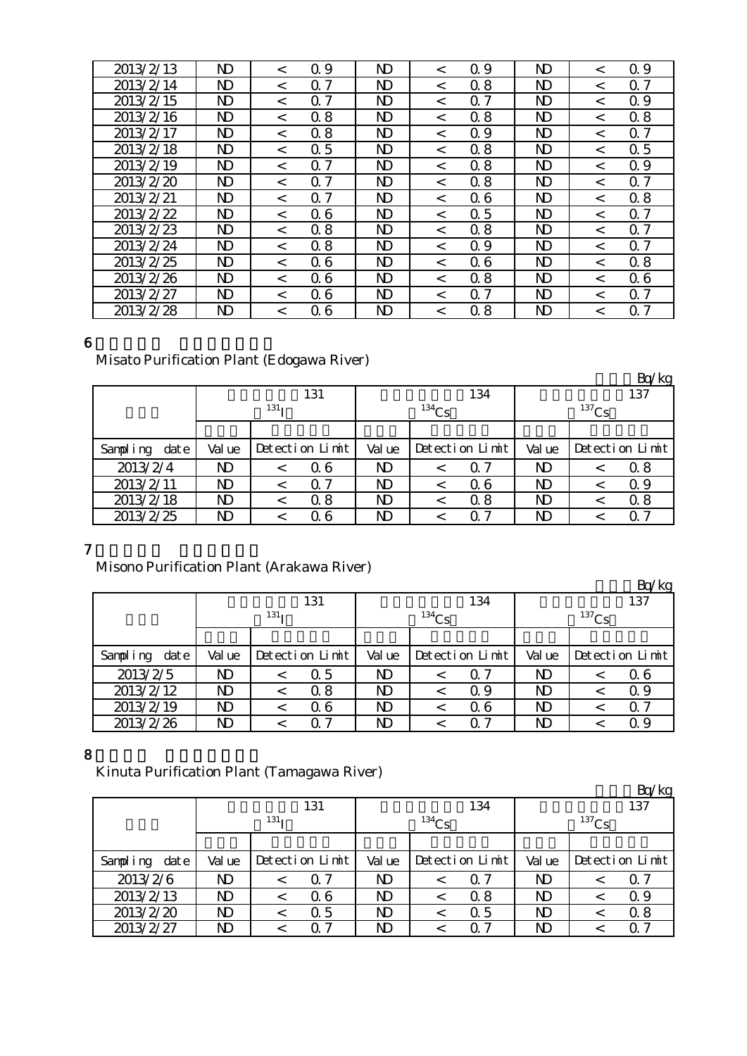| 2013/2/13 | ND           | $\,<\,$ | 0.9            | ND             | $\,<\,$ | Q 9        | ND             | $\,<\,$ | Q 9           |
|-----------|--------------|---------|----------------|----------------|---------|------------|----------------|---------|---------------|
| 2013/2/14 | $\mathbf N$  | $\,<\,$ | 7<br>Ω         | ND             | $\,<\,$ | 0.8        | N <sub>D</sub> | $\,<\,$ | 7<br>$\Omega$ |
| 2013/2/15 | ND           | $\lt$   | 7<br>Ω         | ND             | $\,<\,$ | $\Omega$ 7 | ND             | $\,<\,$ | 0.9           |
| 2013/2/16 | ND           | $\,<\,$ | 0.8            | ND             | $\,<\,$ | 0.8        | ND             | $\,<\,$ | 0.8           |
| 2013/2/17 | ND           | $\,<\,$ | 0.8            | ND             | $\,<\,$ | Q 9        | ND             | $\,<\,$ | 7<br>Ω        |
| 2013/2/18 | ND.          | $\lt$   | $\Omega$ 5     | N <sub>D</sub> | $\lt$   | 0.8        | $\mathbf{D}$   | $\,<\,$ | 0.5           |
| 2013/2/19 | ND           | $\,<\,$ | Q <sub>7</sub> | ND             | $\lt$   | 0.8        | $\mathbf{D}$   | $\,<\,$ | 0.9           |
| 2013/2/20 | ND           | $\lt$   | 7<br>Ω         | ND             | $\,<\,$ | 0.8        | ND             | $\,<\,$ | 7<br>$\Omega$ |
| 2013/2/21 | ND           | $\,<\,$ | 0.7            | ND             | $\lt$   | 06         | ND             | $\lt$   | 0.8           |
| 2013/2/22 | ND           | $\,<\,$ | 06             | ND             | $\,<\,$ | 0.5        | $\mathbf{D}$   | $\,<\,$ | 7<br>$\Omega$ |
| 2013/2/23 | $\mathbf N$  | $\,<\,$ | 0.8            | ND             | $\,<\,$ | 0.8        | ND             | $\,<\,$ | 7<br>Ω        |
| 2013/2/24 | $\mathbf N$  | $\lt$   | 0.8            | N <sub>D</sub> | $\lt$   | Q 9        | $\mathbf{D}$   | $\lt$   | 0. 7          |
| 2013/2/25 | $\mathbf{D}$ | $\,<\,$ | 06             | $\mathbf{D}$   | $\,<\,$ | 06         | $\mathbf{D}$   | $\,<\,$ | 0.8           |
| 2013/2/26 | ND           | $\,<\,$ | 06             | ND             | $\,<\,$ | 0.8        | ND             | $\,<\,$ | 06            |
| 2013/2/27 | ND           | $\,<\,$ | 06             | ND             | $\,<\,$ | 0.7        | ND             | $\,<\,$ | Q 7           |
| 2013/2/28 | ND           | $\,<\,$ | 06             | ND             | $\,<\,$ | 8<br>0     | $\mathbf{D}$   | $\,<\,$ | 7<br>$\Omega$ |

#### Misato Purification Plant (Edogawa River)

|                  |        |                  |                 |        |          |                 |        |          | Bq/kg           |
|------------------|--------|------------------|-----------------|--------|----------|-----------------|--------|----------|-----------------|
|                  |        |                  | 131             |        |          | 134             |        |          | 137             |
|                  |        | 131 <sub>T</sub> |                 |        | $134$ Cs |                 |        | $137$ Cs |                 |
|                  |        |                  |                 |        |          |                 |        |          |                 |
| Sampling<br>date | Val ue |                  | Detection Limit | Val ue |          | Detection Limit | Val ue |          | Detection Limit |
| 2013/2/4         | ND     |                  | Q 6             | ND     | $\,<\,$  | $\Omega$ 7      | ND     |          | 0.8             |
| 2013/2/11        | ND     |                  | Q 7             | ND     |          | 06              | ND     |          | 0.9             |
| 2013/2/18        | ND     |                  | 0.8             | ND     |          | 0.8             | ND     |          | 0.8             |
| 2013/2/25        | ND     |                  | Q 6             | ND     |          | $\Omega$ $7$    | ND     |          | O 7             |

## 7

## Misono Purification Plant (Arakawa River)

|                  |                |                  |                 |        |          |                 |        |          | Bq/kg           |
|------------------|----------------|------------------|-----------------|--------|----------|-----------------|--------|----------|-----------------|
|                  |                |                  | 131             |        |          | 134             |        |          | 137             |
|                  |                | 131 <sub>T</sub> |                 |        | $134$ Cs |                 |        | $137$ Cs |                 |
|                  |                |                  |                 |        |          |                 |        |          |                 |
| Sampling<br>date | Val ue         |                  | Detection Limit | Val ue |          | Detection Limit | Val ue |          | Detection Limit |
| 2013/2/5         | N <sub>D</sub> |                  | 0.5             | ND     | <        | Q 7             | ND     |          | 06              |
| 2013/2/12        | ND             |                  | 0.8             | ND     |          | Q 9             | ND     |          | Q 9             |
| 2013/2/19        | ND             |                  | 06              | ND     |          | Q 6             | ND     |          | Q 7             |
| 2013/2/26        | ND             |                  | ი 7             | ND     |          | ი 7             | ND     |          | Q 9             |

### 8

Kinuta Purification Plant (Tamagawa River)

|                  |        |                  |                 |        |            |                 |        |          | Bq/kg           |
|------------------|--------|------------------|-----------------|--------|------------|-----------------|--------|----------|-----------------|
|                  |        |                  | 131             |        |            | 134             |        |          | 137             |
|                  |        | 131 <sub>T</sub> |                 |        | $^{134}Cs$ |                 |        | $137$ Cs |                 |
|                  |        |                  |                 |        |            |                 |        |          |                 |
| date<br>Sampling | Val ue |                  | Detection Limit | Val ue |            | Detection Limit | Val ue |          | Detection Limit |
| 2013/2/6         | ND     |                  | Q 7             | ND     |            | 0.7             | ND     |          | $\Omega$ 7      |
| 2013/2/13        | ND     |                  | Q 6             | ND     |            | 0.8             | ND     |          | Q 9             |
| 2013/2/20        | ND     |                  | 0.5             | ND     |            | 0.5             | ND     |          | 0.8             |
| 2013/2/27        | ND     |                  | -7              | ND     |            | ი 7             | ND     |          | Q 7             |